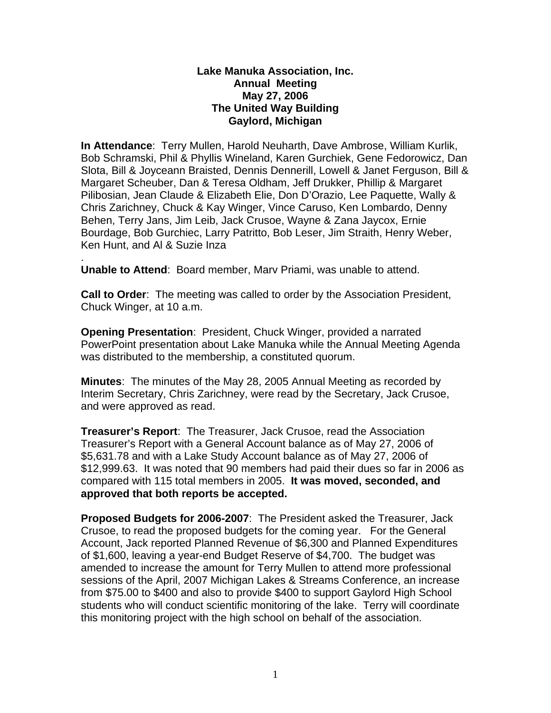#### **Lake Manuka Association, Inc. Annual Meeting May 27, 2006 The United Way Building Gaylord, Michigan**

**In Attendance**: Terry Mullen, Harold Neuharth, Dave Ambrose, William Kurlik, Bob Schramski, Phil & Phyllis Wineland, Karen Gurchiek, Gene Fedorowicz, Dan Slota, Bill & Joyceann Braisted, Dennis Dennerill, Lowell & Janet Ferguson, Bill & Margaret Scheuber, Dan & Teresa Oldham, Jeff Drukker, Phillip & Margaret Pilibosian, Jean Claude & Elizabeth Elie, Don D'Orazio, Lee Paquette, Wally & Chris Zarichney, Chuck & Kay Winger, Vince Caruso, Ken Lombardo, Denny Behen, Terry Jans, Jim Leib, Jack Crusoe, Wayne & Zana Jaycox, Ernie Bourdage, Bob Gurchiec, Larry Patritto, Bob Leser, Jim Straith, Henry Weber, Ken Hunt, and Al & Suzie Inza

. **Unable to Attend**: Board member, Marv Priami, was unable to attend.

**Call to Order**: The meeting was called to order by the Association President, Chuck Winger, at 10 a.m.

**Opening Presentation**: President, Chuck Winger, provided a narrated PowerPoint presentation about Lake Manuka while the Annual Meeting Agenda was distributed to the membership, a constituted quorum.

**Minutes**: The minutes of the May 28, 2005 Annual Meeting as recorded by Interim Secretary, Chris Zarichney, were read by the Secretary, Jack Crusoe, and were approved as read.

**Treasurer's Report**: The Treasurer, Jack Crusoe, read the Association Treasurer's Report with a General Account balance as of May 27, 2006 of \$5,631.78 and with a Lake Study Account balance as of May 27, 2006 of \$12,999.63. It was noted that 90 members had paid their dues so far in 2006 as compared with 115 total members in 2005. **It was moved, seconded, and approved that both reports be accepted.** 

**Proposed Budgets for 2006-2007**: The President asked the Treasurer, Jack Crusoe, to read the proposed budgets for the coming year. For the General Account, Jack reported Planned Revenue of \$6,300 and Planned Expenditures of \$1,600, leaving a year-end Budget Reserve of \$4,700. The budget was amended to increase the amount for Terry Mullen to attend more professional sessions of the April, 2007 Michigan Lakes & Streams Conference, an increase from \$75.00 to \$400 and also to provide \$400 to support Gaylord High School students who will conduct scientific monitoring of the lake. Terry will coordinate this monitoring project with the high school on behalf of the association.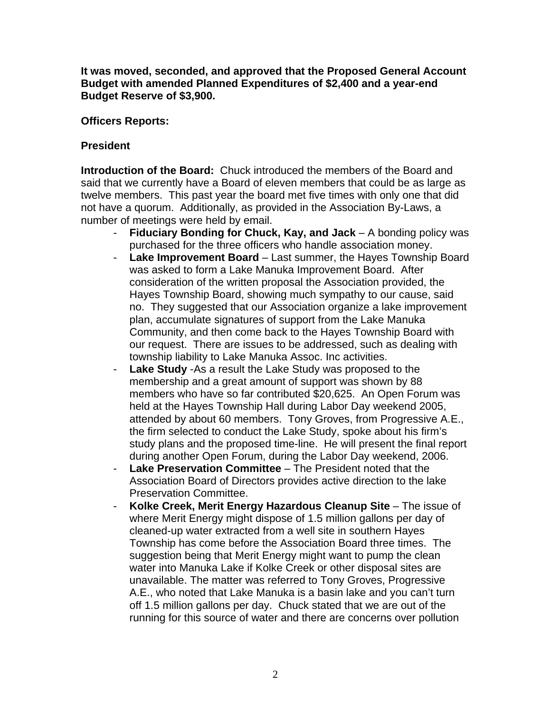**It was moved, seconded, and approved that the Proposed General Account Budget with amended Planned Expenditures of \$2,400 and a year-end Budget Reserve of \$3,900.** 

#### **Officers Reports:**

# **President**

**Introduction of the Board:** Chuck introduced the members of the Board and said that we currently have a Board of eleven members that could be as large as twelve members. This past year the board met five times with only one that did not have a quorum. Additionally, as provided in the Association By-Laws, a number of meetings were held by email.

- **Fiduciary Bonding for Chuck, Kay, and Jack** A bonding policy was purchased for the three officers who handle association money.
- **Lake Improvement Board**  Last summer, the Hayes Township Board was asked to form a Lake Manuka Improvement Board. After consideration of the written proposal the Association provided, the Hayes Township Board, showing much sympathy to our cause, said no. They suggested that our Association organize a lake improvement plan, accumulate signatures of support from the Lake Manuka Community, and then come back to the Hayes Township Board with our request. There are issues to be addressed, such as dealing with township liability to Lake Manuka Assoc. Inc activities.
- **Lake Study** -As a result the Lake Study was proposed to the membership and a great amount of support was shown by 88 members who have so far contributed \$20,625. An Open Forum was held at the Hayes Township Hall during Labor Day weekend 2005, attended by about 60 members. Tony Groves, from Progressive A.E., the firm selected to conduct the Lake Study, spoke about his firm's study plans and the proposed time-line. He will present the final report during another Open Forum, during the Labor Day weekend, 2006.
- **Lake Preservation Committee** The President noted that the Association Board of Directors provides active direction to the lake Preservation Committee.
- **Kolke Creek, Merit Energy Hazardous Cleanup Site** The issue of where Merit Energy might dispose of 1.5 million gallons per day of cleaned-up water extracted from a well site in southern Hayes Township has come before the Association Board three times. The suggestion being that Merit Energy might want to pump the clean water into Manuka Lake if Kolke Creek or other disposal sites are unavailable. The matter was referred to Tony Groves, Progressive A.E., who noted that Lake Manuka is a basin lake and you can't turn off 1.5 million gallons per day. Chuck stated that we are out of the running for this source of water and there are concerns over pollution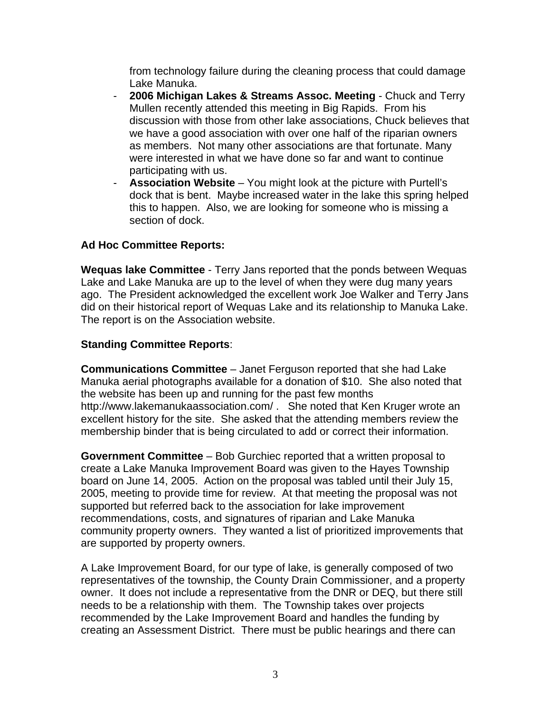from technology failure during the cleaning process that could damage Lake Manuka.

- **2006 Michigan Lakes & Streams Assoc. Meeting** Chuck and Terry Mullen recently attended this meeting in Big Rapids. From his discussion with those from other lake associations, Chuck believes that we have a good association with over one half of the riparian owners as members. Not many other associations are that fortunate. Many were interested in what we have done so far and want to continue participating with us.
- **Association Website**  You might look at the picture with Purtell's dock that is bent. Maybe increased water in the lake this spring helped this to happen. Also, we are looking for someone who is missing a section of dock.

## **Ad Hoc Committee Reports:**

**Wequas lake Committee** - Terry Jans reported that the ponds between Wequas Lake and Lake Manuka are up to the level of when they were dug many years ago. The President acknowledged the excellent work Joe Walker and Terry Jans did on their historical report of Wequas Lake and its relationship to Manuka Lake. The report is on the Association website.

## **Standing Committee Reports**:

**Communications Committee** – Janet Ferguson reported that she had Lake Manuka aerial photographs available for a donation of \$10. She also noted that the website has been up and running for the past few months http://www.lakemanukaassociation.com/ . She noted that Ken Kruger wrote an excellent history for the site. She asked that the attending members review the membership binder that is being circulated to add or correct their information.

**Government Committee** – Bob Gurchiec reported that a written proposal to create a Lake Manuka Improvement Board was given to the Hayes Township board on June 14, 2005. Action on the proposal was tabled until their July 15, 2005, meeting to provide time for review. At that meeting the proposal was not supported but referred back to the association for lake improvement recommendations, costs, and signatures of riparian and Lake Manuka community property owners. They wanted a list of prioritized improvements that are supported by property owners.

A Lake Improvement Board, for our type of lake, is generally composed of two representatives of the township, the County Drain Commissioner, and a property owner. It does not include a representative from the DNR or DEQ, but there still needs to be a relationship with them. The Township takes over projects recommended by the Lake Improvement Board and handles the funding by creating an Assessment District. There must be public hearings and there can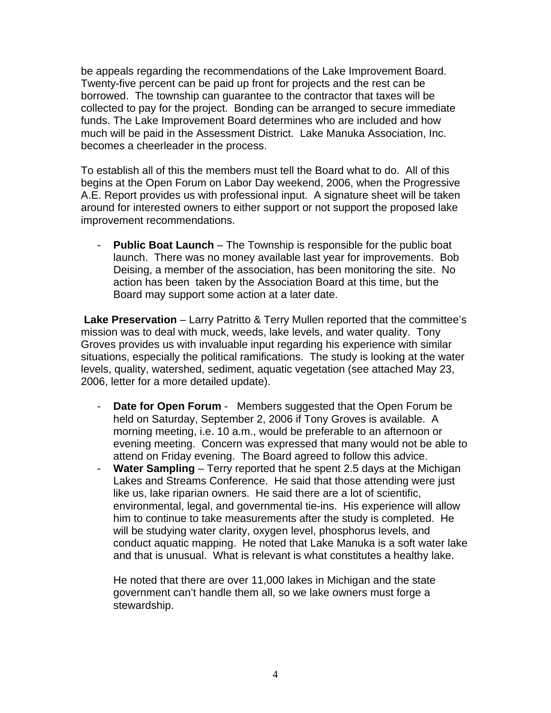be appeals regarding the recommendations of the Lake Improvement Board. Twenty-five percent can be paid up front for projects and the rest can be borrowed. The township can guarantee to the contractor that taxes will be collected to pay for the project. Bonding can be arranged to secure immediate funds. The Lake Improvement Board determines who are included and how much will be paid in the Assessment District. Lake Manuka Association, Inc. becomes a cheerleader in the process.

To establish all of this the members must tell the Board what to do. All of this begins at the Open Forum on Labor Day weekend, 2006, when the Progressive A.E. Report provides us with professional input. A signature sheet will be taken around for interested owners to either support or not support the proposed lake improvement recommendations.

- **Public Boat Launch** – The Township is responsible for the public boat launch. There was no money available last year for improvements. Bob Deising, a member of the association, has been monitoring the site. No action has been taken by the Association Board at this time, but the Board may support some action at a later date.

**Lake Preservation** – Larry Patritto & Terry Mullen reported that the committee's mission was to deal with muck, weeds, lake levels, and water quality. Tony Groves provides us with invaluable input regarding his experience with similar situations, especially the political ramifications. The study is looking at the water levels, quality, watershed, sediment, aquatic vegetation (see attached May 23, 2006, letter for a more detailed update).

- **Date for Open Forum** Members suggested that the Open Forum be held on Saturday, September 2, 2006 if Tony Groves is available. A morning meeting, i.e. 10 a.m., would be preferable to an afternoon or evening meeting. Concern was expressed that many would not be able to attend on Friday evening. The Board agreed to follow this advice.
- **Water Sampling** Terry reported that he spent 2.5 days at the Michigan Lakes and Streams Conference. He said that those attending were just like us, lake riparian owners. He said there are a lot of scientific, environmental, legal, and governmental tie-ins. His experience will allow him to continue to take measurements after the study is completed. He will be studying water clarity, oxygen level, phosphorus levels, and conduct aquatic mapping. He noted that Lake Manuka is a soft water lake and that is unusual. What is relevant is what constitutes a healthy lake.

He noted that there are over 11,000 lakes in Michigan and the state government can't handle them all, so we lake owners must forge a stewardship.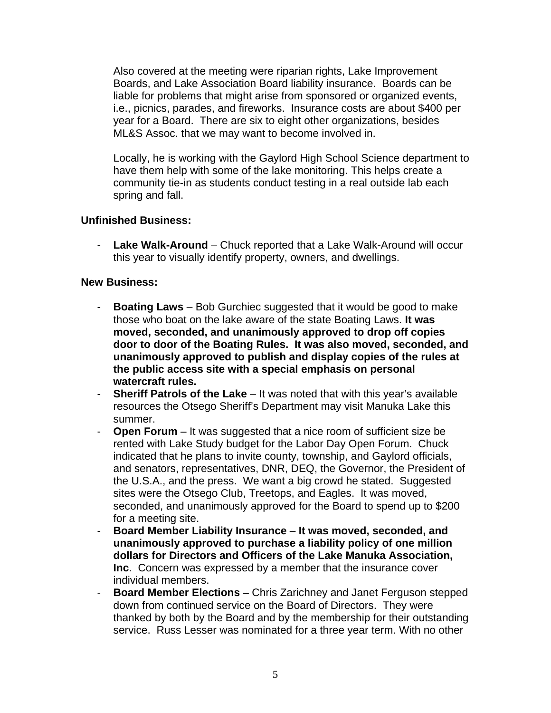Also covered at the meeting were riparian rights, Lake Improvement Boards, and Lake Association Board liability insurance. Boards can be liable for problems that might arise from sponsored or organized events, i.e., picnics, parades, and fireworks. Insurance costs are about \$400 per year for a Board. There are six to eight other organizations, besides ML&S Assoc. that we may want to become involved in.

Locally, he is working with the Gaylord High School Science department to have them help with some of the lake monitoring. This helps create a community tie-in as students conduct testing in a real outside lab each spring and fall.

## **Unfinished Business:**

- **Lake Walk-Around** – Chuck reported that a Lake Walk-Around will occur this year to visually identify property, owners, and dwellings.

#### **New Business:**

- **Boating Laws**  Bob Gurchiec suggested that it would be good to make those who boat on the lake aware of the state Boating Laws. **It was moved, seconded, and unanimously approved to drop off copies door to door of the Boating Rules. It was also moved, seconded, and unanimously approved to publish and display copies of the rules at the public access site with a special emphasis on personal watercraft rules.**
- **Sheriff Patrols of the Lake** It was noted that with this year's available resources the Otsego Sheriff's Department may visit Manuka Lake this summer.
- **Open Forum**  It was suggested that a nice room of sufficient size be rented with Lake Study budget for the Labor Day Open Forum. Chuck indicated that he plans to invite county, township, and Gaylord officials, and senators, representatives, DNR, DEQ, the Governor, the President of the U.S.A., and the press. We want a big crowd he stated. Suggested sites were the Otsego Club, Treetops, and Eagles. It was moved, seconded, and unanimously approved for the Board to spend up to \$200 for a meeting site.
- **Board Member Liability Insurance It was moved, seconded, and unanimously approved to purchase a liability policy of one million dollars for Directors and Officers of the Lake Manuka Association, Inc**. Concern was expressed by a member that the insurance cover individual members.
- **Board Member Elections** Chris Zarichney and Janet Ferguson stepped down from continued service on the Board of Directors. They were thanked by both by the Board and by the membership for their outstanding service. Russ Lesser was nominated for a three year term. With no other